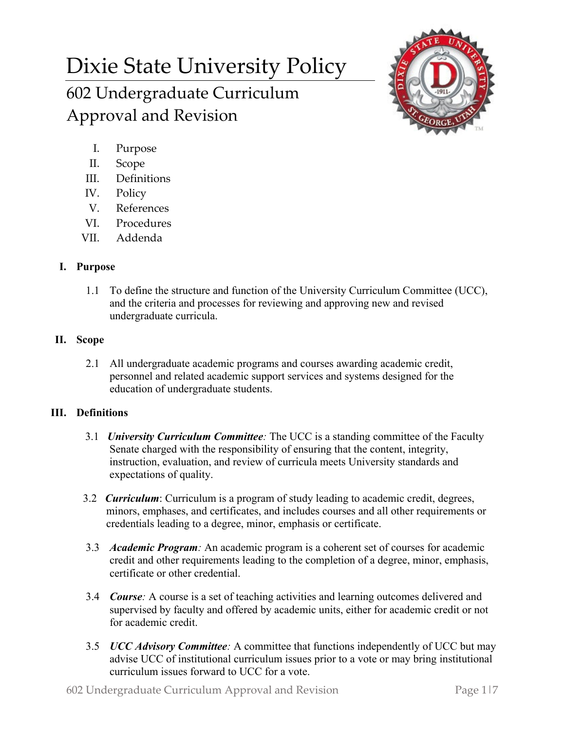# Dixie State University Policy 602 Undergraduate Curriculum Approval and Revision



- I. Purpose
- II. Scope
- III. Definitions
- IV. Policy
- V. References
- VI. Procedures
- VII. Addenda

## **I. Purpose**

1.1 To define the structure and function of the University Curriculum Committee (UCC), and the criteria and processes for reviewing and approving new and revised undergraduate curricula.

# **II. Scope**

2.1 All undergraduate academic programs and courses awarding academic credit, personnel and related academic support services and systems designed for the education of undergraduate students.

## **III. Definitions**

- 3.1 *University Curriculum Committee:* The UCC is a standing committee of the Faculty Senate charged with the responsibility of ensuring that the content, integrity, instruction, evaluation, and review of curricula meets University standards and expectations of quality.
- 3.2 *Curriculum*: Curriculum is a program of study leading to academic credit, degrees, minors, emphases, and certificates, and includes courses and all other requirements or credentials leading to a degree, minor, emphasis or certificate.
- 3.3 *Academic Program:* An academic program is a coherent set of courses for academic credit and other requirements leading to the completion of a degree, minor, emphasis, certificate or other credential.
- 3.4 *Course:* A course is a set of teaching activities and learning outcomes delivered and supervised by faculty and offered by academic units, either for academic credit or not for academic credit.
- 3.5 *UCC Advisory Committee:* A committee that functions independently of UCC but may advise UCC of institutional curriculum issues prior to a vote or may bring institutional curriculum issues forward to UCC for a vote.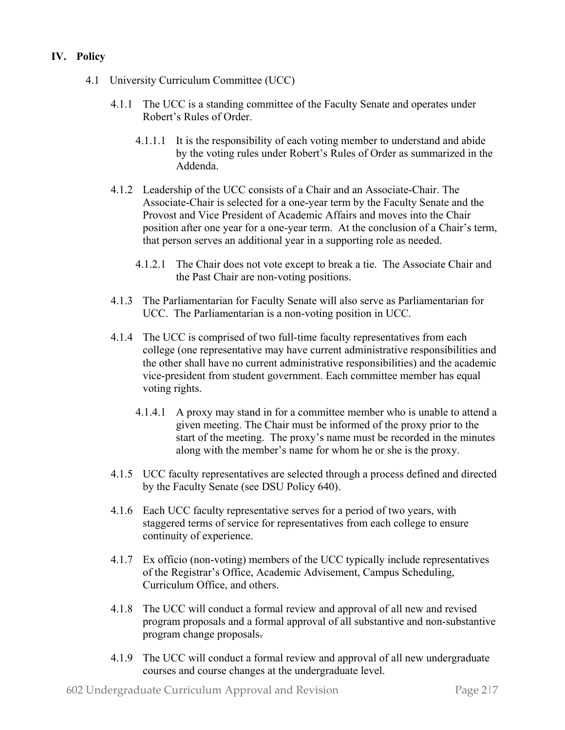### **IV. Policy**

- 4.1 University Curriculum Committee (UCC)
	- 4.1.1 The UCC is a standing committee of the Faculty Senate and operates under Robert's Rules of Order.
		- 4.1.1.1 It is the responsibility of each voting member to understand and abide by the voting rules under Robert's Rules of Order as summarized in the Addenda.
	- 4.1.2 Leadership of the UCC consists of a Chair and an Associate-Chair. The Associate-Chair is selected for a one-year term by the Faculty Senate and the Provost and Vice President of Academic Affairs and moves into the Chair position after one year for a one-year term. At the conclusion of a Chair's term, that person serves an additional year in a supporting role as needed.
		- 4.1.2.1 The Chair does not vote except to break a tie. The Associate Chair and the Past Chair are non-voting positions.
	- 4.1.3 The Parliamentarian for Faculty Senate will also serve as Parliamentarian for UCC. The Parliamentarian is a non-voting position in UCC.
	- 4.1.4 The UCC is comprised of two full-time faculty representatives from each college (one representative may have current administrative responsibilities and the other shall have no current administrative responsibilities) and the academic vice-president from student government. Each committee member has equal voting rights.
		- 4.1.4.1 A proxy may stand in for a committee member who is unable to attend a given meeting. The Chair must be informed of the proxy prior to the start of the meeting. The proxy's name must be recorded in the minutes along with the member's name for whom he or she is the proxy.
	- 4.1.5 UCC faculty representatives are selected through a process defined and directed by the Faculty Senate (see DSU Policy 640).
	- 4.1.6 Each UCC faculty representative serves for a period of two years, with staggered terms of service for representatives from each college to ensure continuity of experience.
	- 4.1.7 Ex officio (non-voting) members of the UCC typically include representatives of the Registrar's Office, Academic Advisement, Campus Scheduling, Curriculum Office, and others.
	- 4.1.8 The UCC will conduct a formal review and approval of all new and revised program proposals and a formal approval of all substantive and non-substantive program change proposals.
	- 4.1.9 The UCC will conduct a formal review and approval of all new undergraduate courses and course changes at the undergraduate level.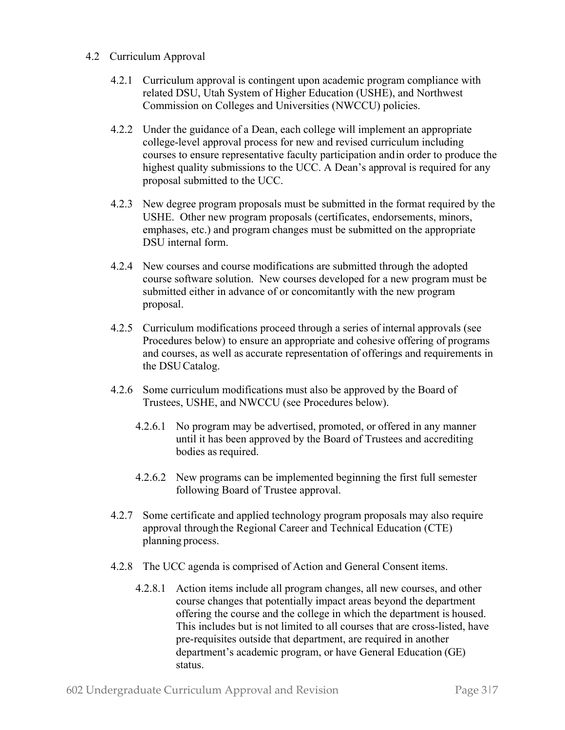#### 4.2 Curriculum Approval

- 4.2.1 Curriculum approval is contingent upon academic program compliance with related DSU, Utah System of Higher Education (USHE), and Northwest Commission on Colleges and Universities (NWCCU) policies.
- 4.2.2 Under the guidance of a Dean, each college will implement an appropriate college-level approval process for new and revised curriculum including courses to ensure representative faculty participation andin order to produce the highest quality submissions to the UCC. A Dean's approval is required for any proposal submitted to the UCC.
- 4.2.3 New degree program proposals must be submitted in the format required by the USHE. Other new program proposals (certificates, endorsements, minors, emphases, etc.) and program changes must be submitted on the appropriate DSU internal form.
- 4.2.4 New courses and course modifications are submitted through the adopted course software solution. New courses developed for a new program must be submitted either in advance of or concomitantly with the new program proposal.
- 4.2.5 Curriculum modifications proceed through a series of internal approvals (see Procedures below) to ensure an appropriate and cohesive offering of programs and courses, as well as accurate representation of offerings and requirements in the DSUCatalog.
- 4.2.6 Some curriculum modifications must also be approved by the Board of Trustees, USHE, and NWCCU (see Procedures below).
	- 4.2.6.1 No program may be advertised, promoted, or offered in any manner until it has been approved by the Board of Trustees and accrediting bodies as required.
	- 4.2.6.2 New programs can be implemented beginning the first full semester following Board of Trustee approval.
- 4.2.7 Some certificate and applied technology program proposals may also require approval throughthe Regional Career and Technical Education (CTE) planning process.
- 4.2.8 The UCC agenda is comprised of Action and General Consent items.
	- 4.2.8.1 Action items include all program changes, all new courses, and other course changes that potentially impact areas beyond the department offering the course and the college in which the department is housed. This includes but is not limited to all courses that are cross-listed, have pre-requisites outside that department, are required in another department's academic program, or have General Education (GE) status.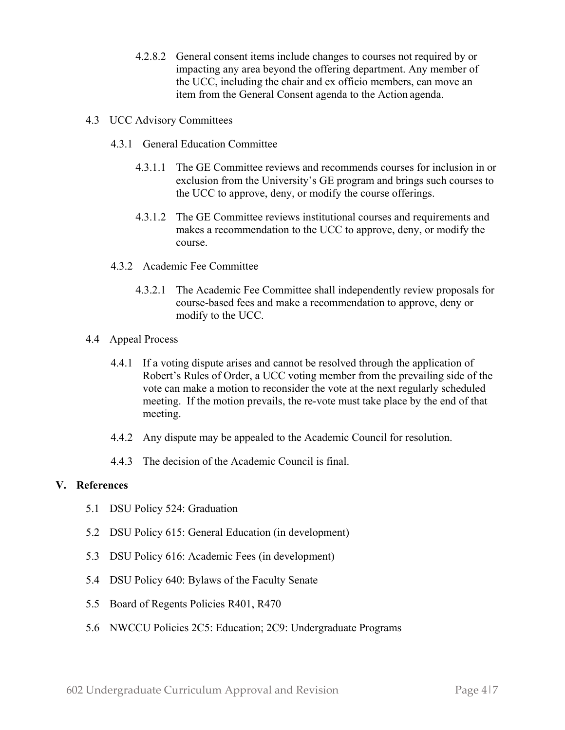- 4.2.8.2 General consent items include changes to courses not required by or impacting any area beyond the offering department. Any member of the UCC, including the chair and ex officio members, can move an item from the General Consent agenda to the Action agenda.
- 4.3 UCC Advisory Committees
	- 4.3.1 General Education Committee
		- 4.3.1.1 The GE Committee reviews and recommends courses for inclusion in or exclusion from the University's GE program and brings such courses to the UCC to approve, deny, or modify the course offerings.
		- 4.3.1.2 The GE Committee reviews institutional courses and requirements and makes a recommendation to the UCC to approve, deny, or modify the course.
	- 4.3.2 Academic Fee Committee
		- 4.3.2.1 The Academic Fee Committee shall independently review proposals for course-based fees and make a recommendation to approve, deny or modify to the UCC.
- 4.4 Appeal Process
	- 4.4.1 If a voting dispute arises and cannot be resolved through the application of Robert's Rules of Order, a UCC voting member from the prevailing side of the vote can make a motion to reconsider the vote at the next regularly scheduled meeting. If the motion prevails, the re-vote must take place by the end of that meeting.
	- 4.4.2 Any dispute may be appealed to the Academic Council for resolution.
	- 4.4.3 The decision of the Academic Council is final.

#### **V. References**

- 5.1 DSU Policy 524: Graduation
- 5.2 DSU Policy 615: General Education (in development)
- 5.3 DSU Policy 616: Academic Fees (in development)
- 5.4 DSU Policy 640: Bylaws of the Faculty Senate
- 5.5 Board of Regents Policies R401, R470
- 5.6 NWCCU Policies 2C5: Education; 2C9: Undergraduate Programs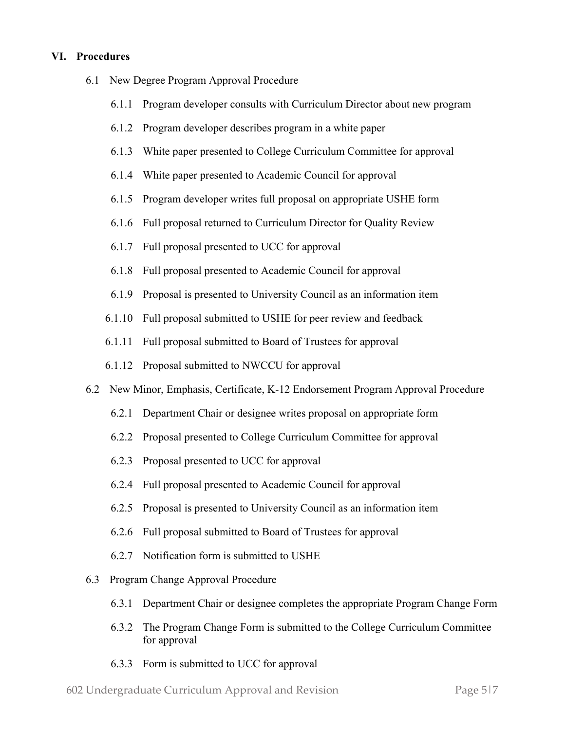#### **VI. Procedures**

- 6.1 New Degree Program Approval Procedure
	- 6.1.1 Program developer consults with Curriculum Director about new program
	- 6.1.2 Program developer describes program in a white paper
	- 6.1.3 White paper presented to College Curriculum Committee for approval
	- 6.1.4 White paper presented to Academic Council for approval
	- 6.1.5 Program developer writes full proposal on appropriate USHE form
	- 6.1.6 Full proposal returned to Curriculum Director for Quality Review
	- 6.1.7 Full proposal presented to UCC for approval
	- 6.1.8 Full proposal presented to Academic Council for approval
	- 6.1.9 Proposal is presented to University Council as an information item
	- 6.1.10 Full proposal submitted to USHE for peer review and feedback
	- 6.1.11 Full proposal submitted to Board of Trustees for approval
	- 6.1.12 Proposal submitted to NWCCU for approval
- 6.2 New Minor, Emphasis, Certificate, K-12 Endorsement Program Approval Procedure
	- 6.2.1 Department Chair or designee writes proposal on appropriate form
	- 6.2.2 Proposal presented to College Curriculum Committee for approval
	- 6.2.3 Proposal presented to UCC for approval
	- 6.2.4 Full proposal presented to Academic Council for approval
	- 6.2.5 Proposal is presented to University Council as an information item
	- 6.2.6 Full proposal submitted to Board of Trustees for approval
	- 6.2.7 Notification form is submitted to USHE
- 6.3 Program Change Approval Procedure
	- 6.3.1 Department Chair or designee completes the appropriate Program Change Form
	- 6.3.2 The Program Change Form is submitted to the College Curriculum Committee for approval
	- 6.3.3 Form is submitted to UCC for approval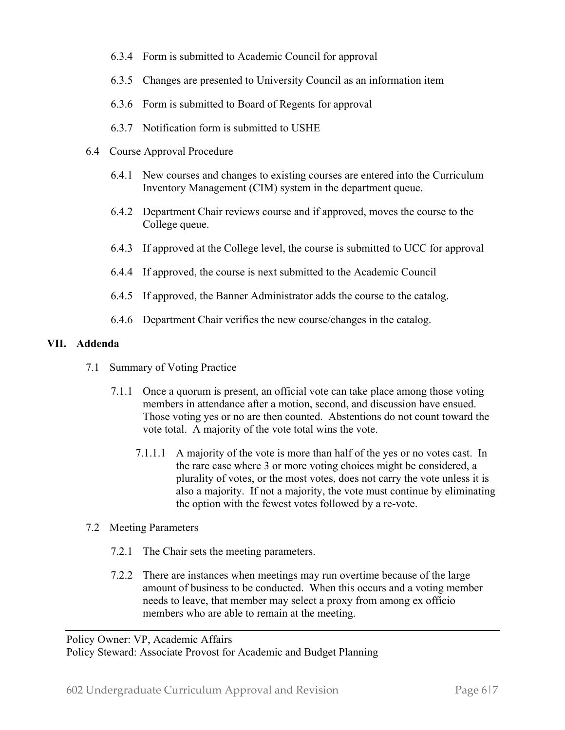- 6.3.4 Form is submitted to Academic Council for approval
- 6.3.5 Changes are presented to University Council as an information item
- 6.3.6 Form is submitted to Board of Regents for approval
- 6.3.7 Notification form is submitted to USHE
- 6.4 Course Approval Procedure
	- 6.4.1 New courses and changes to existing courses are entered into the Curriculum Inventory Management (CIM) system in the department queue.
	- 6.4.2 Department Chair reviews course and if approved, moves the course to the College queue.
	- 6.4.3 If approved at the College level, the course is submitted to UCC for approval
	- 6.4.4 If approved, the course is next submitted to the Academic Council
	- 6.4.5 If approved, the Banner Administrator adds the course to the catalog.
	- 6.4.6 Department Chair verifies the new course/changes in the catalog.

## **VII. Addenda**

- 7.1 Summary of Voting Practice
	- 7.1.1 Once a quorum is present, an official vote can take place among those voting members in attendance after a motion, second, and discussion have ensued. Those voting yes or no are then counted. Abstentions do not count toward the vote total. A majority of the vote total wins the vote.
		- 7.1.1.1 A majority of the vote is more than half of the yes or no votes cast. In the rare case where 3 or more voting choices might be considered, a plurality of votes, or the most votes, does not carry the vote unless it is also a majority. If not a majority, the vote must continue by eliminating the option with the fewest votes followed by a re-vote.
- 7.2 Meeting Parameters
	- 7.2.1 The Chair sets the meeting parameters.
	- 7.2.2 There are instances when meetings may run overtime because of the large amount of business to be conducted. When this occurs and a voting member needs to leave, that member may select a proxy from among ex officio members who are able to remain at the meeting.

Policy Owner: VP, Academic Affairs

Policy Steward: Associate Provost for Academic and Budget Planning